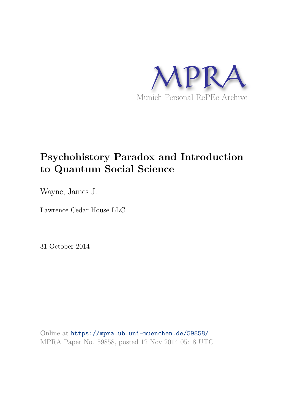

# **Psychohistory Paradox and Introduction to Quantum Social Science**

Wayne, James J.

Lawrence Cedar House LLC

31 October 2014

Online at https://mpra.ub.uni-muenchen.de/59858/ MPRA Paper No. 59858, posted 12 Nov 2014 05:18 UTC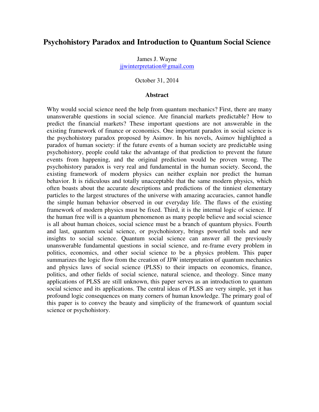## **Psychohistory Paradox and Introduction to Quantum Social Science**

James J. Wayne [jjwinterpretation@gmail.com](mailto:jjwinterpretation@gmail.com)

October 31, 2014

#### **Abstract**

Why would social science need the help from quantum mechanics? First, there are many unanswerable questions in social science. Are financial markets predictable? How to predict the financial markets? These important questions are not answerable in the existing framework of finance or economics. One important paradox in social science is the psychohistory paradox proposed by Asimov. In his novels, Asimov highlighted a paradox of human society: if the future events of a human society are predictable using psychohistory, people could take the advantage of that prediction to prevent the future events from happening, and the original prediction would be proven wrong. The psychohistory paradox is very real and fundamental in the human society. Second, the existing framework of modern physics can neither explain nor predict the human behavior. It is ridiculous and totally unacceptable that the same modern physics, which often boasts about the accurate descriptions and predictions of the tinniest elementary particles to the largest structures of the universe with amazing accuracies, cannot handle the simple human behavior observed in our everyday life. The flaws of the existing framework of modern physics must be fixed. Third, it is the internal logic of science. If the human free will is a quantum phenomenon as many people believe and social science is all about human choices, social science must be a branch of quantum physics. Fourth and last, quantum social science, or psychohistory, brings powerful tools and new insights to social science. Quantum social science can answer all the previously unanswerable fundamental questions in social science, and re-frame every problem in politics, economics, and other social science to be a physics problem. This paper summarizes the logic flow from the creation of JJW interpretation of quantum mechanics and physics laws of social science (PLSS) to their impacts on economics, finance, politics, and other fields of social science, natural science, and theology. Since many applications of PLSS are still unknown, this paper serves as an introduction to quantum social science and its applications. The central ideas of PLSS are very simple, yet it has profound logic consequences on many corners of human knowledge. The primary goal of this paper is to convey the beauty and simplicity of the framework of quantum social science or psychohistory.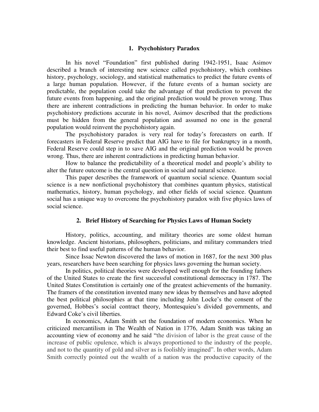## **1. Psychohistory Paradox**

In his novel "Foundation" first published during 1942-1951, Isaac Asimov described a branch of interesting new science called psychohistory, which combines history, psychology, sociology, and statistical mathematics to predict the future events of a large human population. However, if the future events of a human society are predictable, the population could take the advantage of that prediction to prevent the future events from happening, and the original prediction would be proven wrong. Thus there are inherent contradictions in predicting the human behavior. In order to make psychohistory predictions accurate in his novel, Asimov described that the predictions must be hidden from the general population and assumed no one in the general population would reinvent the psychohistory again.

The psychohistory paradox is very real for today's forecasters on earth. If forecasters in Federal Reserve predict that AIG have to file for bankruptcy in a month, Federal Reserve could step in to save AIG and the original prediction would be proven wrong. Thus, there are inherent contradictions in predicting human behavior.

How to balance the predictability of a theoretical model and people's ability to alter the future outcome is the central question in social and natural science.

This paper describes the framework of quantum social science. Quantum social science is a new nonfictional psychohistory that combines quantum physics, statistical mathematics, history, human psychology, and other fields of social science. Quantum social has a unique way to overcome the psychohistory paradox with five physics laws of social science.

## **2. Brief History of Searching for Physics Laws of Human Society**

History, politics, accounting, and military theories are some oldest human knowledge. Ancient historians, philosophers, politicians, and military commanders tried their best to find useful patterns of the human behavior.

Since Issac Newton discovered the laws of motion in 1687, for the next 300 plus years, researchers have been searching for physics laws governing the human society.

In politics, political theories were developed well enough for the founding fathers of the United States to create the first successful constitutional democracy in 1787. The United States Constitution is certainly one of the greatest achievements of the humanity. The framers of the constitution invented many new ideas by themselves and have adopted the best political philosophies at that time including John Locke's the consent of the governed, Hobbes's social contract theory, Montesquieu's divided governments, and Edward Coke's civil liberties.

In economics, Adam Smith set the foundation of modern economics. When he criticized mercantilism in The Wealth of Nation in 1776, Adam Smith was taking an accounting view of economy and he said "the division of labor is the great cause of the increase of public opulence, which is always proportioned to the industry of the people, and not to the quantity of gold and silver as is foolishly imagined". In other words, Adam Smith correctly pointed out the wealth of a nation was the productive capacity of the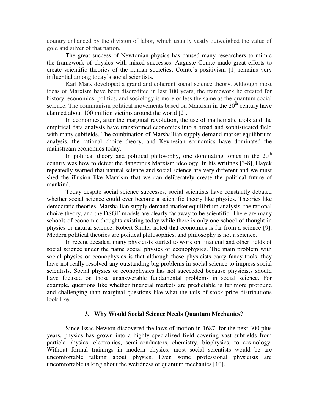country enhanced by the division of labor, which usually vastly outweighed the value of gold and silver of that nation.

The great success of Newtonian physics has caused many researchers to mimic the framework of physics with mixed successes. Auguste Comte made great efforts to create scientific theories of the human societies. Comte's positivism [1] remains very influential among today's social scientists.

Karl Marx developed a grand and coherent social science theory. Although most ideas of Marxism have been discredited in last 100 years, the framework he created for history, economics, politics, and sociology is more or less the same as the quantum social science. The communism political movements based on Marxism in the  $20<sup>th</sup>$  century have claimed about 100 million victims around the world [2].

In economics, after the marginal revolution, the use of mathematic tools and the empirical data analysis have transformed economics into a broad and sophisticated field with many subfields. The combination of Marshallian supply demand market equilibrium analysis, the rational choice theory, and Keynesian economics have dominated the mainstream economics today.

In political theory and political philosophy, one dominating topics in the  $20<sup>th</sup>$ century was how to defeat the dangerous Marxism ideology. In his writings [3-8], Hayek repeatedly warned that natural science and social science are very different and we must shed the illusion like Marxism that we can deliberately create the political future of mankind.

Today despite social science successes, social scientists have constantly debated whether social science could ever become a scientific theory like physics. Theories like democratic theories, Marshallian supply demand market equilibrium analysis, the rational choice theory, and the DSGE models are clearly far away to be scientific. There are many schools of economic thoughts existing today while there is only one school of thought in physics or natural science. Robert Shiller noted that economics is far from a science [9]. Modern political theories are political philosophies, and philosophy is not a science.

In recent decades, many physicists started to work on financial and other fields of social science under the name social physics or econophysics. The main problem with social physics or econophysics is that although these physicists carry fancy tools, they have not really resolved any outstanding big problems in social science to impress social scientists. Social physics or econophysics has not succeeded because physicists should have focused on those unanswerable fundamental problems in social science. For example, questions like whether financial markets are predictable is far more profound and challenging than marginal questions like what the tails of stock price distributions look like.

## **3. Why Would Social Science Needs Quantum Mechanics?**

Since Issac Newton discovered the laws of motion in 1687, for the next 300 plus years, physics has grown into a highly specialized field covering vast subfields from particle physics, electronics, semi-conductors, chemistry, biophysics, to cosmology. Without formal trainings in modern physics, most social scientists would be are uncomfortable talking about physics. Even some professional physicists are uncomfortable talking about the weirdness of quantum mechanics [10].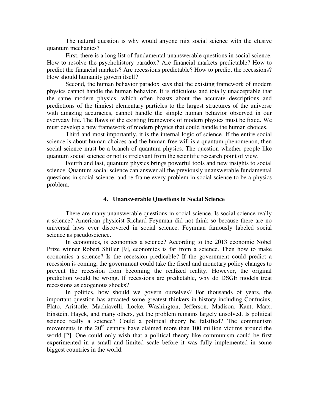The natural question is why would anyone mix social science with the elusive quantum mechanics?

First, there is a long list of fundamental unanswerable questions in social science. How to resolve the psychohistory paradox? Are financial markets predictable? How to predict the financial markets? Are recessions predictable? How to predict the recessions? How should humanity govern itself?

Second, the human behavior paradox says that the existing framework of modern physics cannot handle the human behavior. It is ridiculous and totally unacceptable that the same modern physics, which often boasts about the accurate descriptions and predictions of the tinniest elementary particles to the largest structures of the universe with amazing accuracies, cannot handle the simple human behavior observed in our everyday life. The flaws of the existing framework of modern physics must be fixed. We must develop a new framework of modern physics that could handle the human choices.

Third and most importantly, it is the internal logic of science. If the entire social science is about human choices and the human free will is a quantum phenomenon, then social science must be a branch of quantum physics. The question whether people like quantum social science or not is irrelevant from the scientific research point of view.

Fourth and last, quantum physics brings powerful tools and new insights to social science. Quantum social science can answer all the previously unanswerable fundamental questions in social science, and re-frame every problem in social science to be a physics problem.

## **4. Unanswerable Questions in Social Science**

There are many unanswerable questions in social science. Is social science really a science? American physicist Richard Feynman did not think so because there are no universal laws ever discovered in social science. Feynman famously labeled social science as pseudoscience.

In economics, is economics a science? According to the 2013 economic Nobel Prize winner Robert Shiller [9], economics is far from a science. Then how to make economics a science? Is the recession predicable? If the government could predict a recession is coming, the government could take the fiscal and monetary policy changes to prevent the recession from becoming the realized reality. However, the original prediction would be wrong. If recessions are predictable, why do DSGE models treat recessions as exogenous shocks?

In politics, how should we govern ourselves? For thousands of years, the important question has attracted some greatest thinkers in history including Confucius, Plato, Aristotle, Machiavelli, Locke, Washington, Jefferson, Madison, Kant, Marx, Einstein, Hayek, and many others, yet the problem remains largely unsolved. Is political science really a science? Could a political theory be falsified? The communism movements in the  $20<sup>th</sup>$  century have claimed more than 100 million victims around the world [2]. One could only wish that a political theory like communism could be first experimented in a small and limited scale before it was fully implemented in some biggest countries in the world.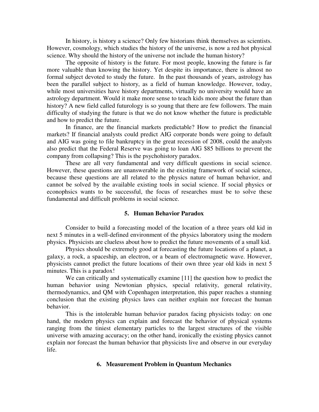In history, is history a science? Only few historians think themselves as scientists. However, cosmology, which studies the history of the universe, is now a red hot physical science. Why should the history of the universe not include the human history?

The opposite of history is the future. For most people, knowing the future is far more valuable than knowing the history. Yet despite its importance, there is almost no formal subject devoted to study the future. In the past thousands of years, astrology has been the parallel subject to history, as a field of human knowledge. However, today, while most universities have history departments, virtually no university would have an astrology department. Would it make more sense to teach kids more about the future than history? A new field called futurology is so young that there are few followers. The main difficulty of studying the future is that we do not know whether the future is predictable and how to predict the future.

In finance, are the financial markets predictable? How to predict the financial markets? If financial analysts could predict AIG corporate bonds were going to default and AIG was going to file bankruptcy in the great recession of 2008, could the analysts also predict that the Federal Reserve was going to loan AIG \$85 billions to prevent the company from collapsing? This is the psychohistory paradox.

These are all very fundamental and very difficult questions in social science. However, these questions are unanswerable in the existing framework of social science, because these questions are all related to the physics nature of human behavior, and cannot be solved by the available existing tools in social science. If social physics or econophsics wants to be successful, the focus of researches must be to solve these fundamental and difficult problems in social science.

#### **5. Human Behavior Paradox**

Consider to build a forecasting model of the location of a three years old kid in next 5 minutes in a well-defined environment of the physics laboratory using the modern physics. Physicists are clueless about how to predict the future movements of a small kid.

Physics should be extremely good at forecasting the future locations of a planet, a galaxy, a rock, a spaceship, an electron, or a beam of electromagnetic wave. However, physicists cannot predict the future locations of their own three year old kids in next 5 minutes. This is a paradox!

We can critically and systematically examine [11] the question how to predict the human behavior using Newtonian physics, special relativity, general relativity, thermodynamics, and QM with Copenhagen interpretation, this paper reaches a stunning conclusion that the existing physics laws can neither explain nor forecast the human behavior.

This is the intolerable human behavior paradox facing physicists today: on one hand, the modern physics can explain and forecast the behavior of physical systems ranging from the tiniest elementary particles to the largest structures of the visible universe with amazing accuracy; on the other hand, ironically the existing physics cannot explain nor forecast the human behavior that physicists live and observe in our everyday life.

## **6. Measurement Problem in Quantum Mechanics**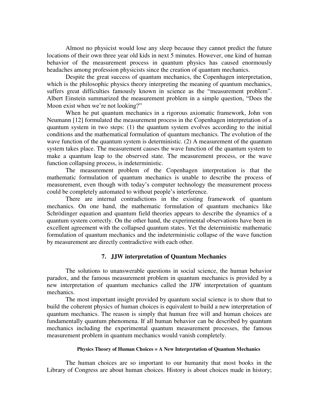Almost no physicist would lose any sleep because they cannot predict the future locations of their own three year old kids in next 5 minutes. However, one kind of human behavior of the measurement process in quantum physics has caused enormously headaches among profession physicists since the creation of quantum mechanics.

Despite the great success of quantum mechanics, the Copenhagen interpretation, which is the philosophic physics theory interpreting the meaning of quantum mechanics, suffers great difficulties famously known in science as the "measurement problem". Albert Einstein summarized the measurement problem in a simple question, "Does the Moon exist when we're not looking?"

 When he put quantum mechanics in a rigorous axiomatic framework, John von Neumann [12] formulated the measurement process in the Copenhagen interpretation of a quantum system in two steps: (1) the quantum system evolves according to the initial conditions and the mathematical formulation of quantum mechanics. The evolution of the wave function of the quantum system is deterministic. (2) A measurement of the quantum system takes place. The measurement causes the wave function of the quantum system to make a quantum leap to the observed state. The measurement process, or the wave function collapsing process, is indeterministic.

 The measurement problem of the Copenhagen interpretation is that the mathematic formulation of quantum mechanics is unable to describe the process of measurement, even though with today's computer technology the measurement process could be completely automated to without people's interference.

 There are internal contradictions in the existing framework of quantum mechanics. On one hand, the mathematic formulation of quantum mechanics like Schrödinger equation and quantum field theories appears to describe the dynamics of a quantum system correctly. On the other hand, the experimental observations have been in excellent agreement with the collapsed quantum states. Yet the deterministic mathematic formulation of quantum mechanics and the indeterministic collapse of the wave function by measurement are directly contradictive with each other.

## **7. JJW interpretation of Quantum Mechanics**

The solutions to unanswerable questions in social science, the human behavior paradox, and the famous measurement problem in quantum mechanics is provided by a new interpretation of quantum mechanics called the JJW interpretation of quantum mechanics.

The most important insight provided by quantum social science is to show that to build the coherent physics of human choices is equivalent to build a new interpretation of quantum mechanics. The reason is simply that human free will and human choices are fundamentally quantum phenomena. If all human behavior can be described by quantum mechanics including the experimental quantum measurement processes, the famous measurement problem in quantum mechanics would vanish completely.

## **Physics Theory of Human Choices = A New Interpretation of Quantum Mechanics**

The human choices are so important to our humanity that most books in the Library of Congress are about human choices. History is about choices made in history;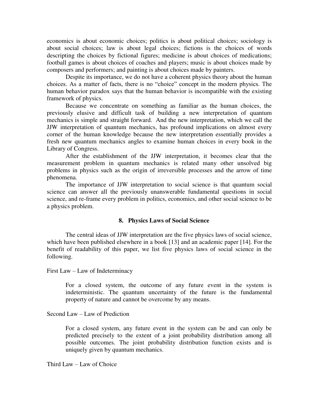economics is about economic choices; politics is about political choices; sociology is about social choices; law is about legal choices; fictions is the choices of words descripting the choices by fictional figures; medicine is about choices of medications; football games is about choices of coaches and players; music is about choices made by composers and performers; and painting is about choices made by painters.

Despite its importance, we do not have a coherent physics theory about the human choices. As a matter of facts, there is no "choice" concept in the modern physics. The human behavior paradox says that the human behavior is incompatible with the existing framework of physics.

Because we concentrate on something as familiar as the human choices, the previously elusive and difficult task of building a new interpretation of quantum mechanics is simple and straight forward. And the new interpretation, which we call the JJW interpretation of quantum mechanics, has profound implications on almost every corner of the human knowledge because the new interpretation essentially provides a fresh new quantum mechanics angles to examine human choices in every book in the Library of Congress.

After the establishment of the JJW interpretation, it becomes clear that the measurement problem in quantum mechanics is related many other unsolved big problems in physics such as the origin of irreversible processes and the arrow of time phenomena.

The importance of JJW interpretation to social science is that quantum social science can answer all the previously unanswerable fundamental questions in social science, and re-frame every problem in politics, economics, and other social science to be a physics problem.

## **8. Physics Laws of Social Science**

The central ideas of JJW interpretation are the five physics laws of social science, which have been published elsewhere in a book [13] and an academic paper [14]*.* For the benefit of readability of this paper, we list five physics laws of social science in the following.

First Law – Law of Indeterminacy

For a closed system, the outcome of any future event in the system is indeterministic. The quantum uncertainty of the future is the fundamental property of nature and cannot be overcome by any means.

Second Law – Law of Prediction

For a closed system, any future event in the system can be and can only be predicted precisely to the extent of a joint probability distribution among all possible outcomes. The joint probability distribution function exists and is uniquely given by quantum mechanics.

Third Law – Law of Choice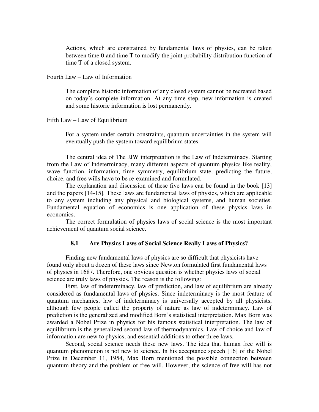Actions, which are constrained by fundamental laws of physics, can be taken between time 0 and time T to modify the joint probability distribution function of time T of a closed system.

Fourth Law – Law of Information

The complete historic information of any closed system cannot be recreated based on today's complete information. At any time step, new information is created and some historic information is lost permanently.

Fifth Law – Law of Equilibrium

For a system under certain constraints, quantum uncertainties in the system will eventually push the system toward equilibrium states.

The central idea of The JJW interpretation is the Law of Indeterminacy. Starting from the Law of Indeterminacy, many different aspects of quantum physics like reality, wave function, information, time symmetry, equilibrium state, predicting the future, choice, and free wills have to be re-examined and formulated.

The explanation and discussion of these five laws can be found in the book [13] and the papers [14-15]*.* These laws are fundamental laws of physics, which are applicable to any system including any physical and biological systems, and human societies. Fundamental equation of economics is one application of these physics laws in economics.

The correct formulation of physics laws of social science is the most important achievement of quantum social science.

## **8.1 Are Physics Laws of Social Science Really Laws of Physics?**

Finding new fundamental laws of physics are so difficult that physicists have found only about a dozen of these laws since Newton formulated first fundamental laws of physics in 1687. Therefore, one obvious question is whether physics laws of social science are truly laws of physics. The reason is the following:

First, law of indeterminacy, law of prediction, and law of equilibrium are already considered as fundamental laws of physics. Since indeterminacy is the most feature of quantum mechanics, law of indeterminacy is universally accepted by all physicists, although few people called the property of nature as law of indeterminacy. Law of prediction is the generalized and modified Born's statistical interpretation. Max Born was awarded a Nobel Prize in physics for his famous statistical interpretation. The law of equilibrium is the generalized second law of thermodynamics. Law of choice and law of information are new to physics, and essential additions to other three laws.

Second, social science needs these new laws. The idea that human free will is quantum phenomenon is not new to science. In his acceptance speech [16] of the Nobel Prize in December 11, 1954, Max Born mentioned the possible connection between quantum theory and the problem of free will. However, the science of free will has not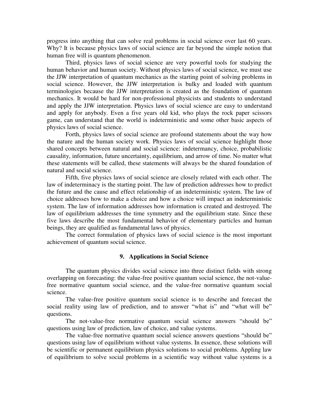progress into anything that can solve real problems in social science over last 60 years. Why? It is because physics laws of social science are far beyond the simple notion that human free will is quantum phenomenon.

Third, physics laws of social science are very powerful tools for studying the human behavior and human society. Without physics laws of social science, we must use the JJW interpretation of quantum mechanics as the starting point of solving problems in social science. However, the JJW interpretation is bulky and loaded with quantum terminologies because the JJW interpretation is created as the foundation of quantum mechanics. It would be hard for non-professional physicists and students to understand and apply the JJW interpretation. Physics laws of social science are easy to understand and apply for anybody. Even a five years old kid, who plays the rock paper scissors game, can understand that the world is indeterministic and some other basic aspects of physics laws of social science.

Forth, physics laws of social science are profound statements about the way how the nature and the human society work. Physics laws of social science highlight those shared concepts between natural and social science: indetermancy, choice, probabilistic causality, information, future uncertainty, equilibrium, and arrow of time. No matter what these statements will be called, these statements will always be the shared foundation of natural and social science.

Fifth, five physics laws of social science are closely related with each other. The law of indeterminacy is the starting point. The law of prediction addresses how to predict the future and the cause and effect relationship of an indeterministic system. The law of choice addresses how to make a choice and how a choice will impact an indeterministic system. The law of information addresses how information is created and destroyed. The law of equilibrium addresses the time symmetry and the equilibrium state. Since these five laws describe the most fundamental behavior of elementary particles and human beings, they are qualified as fundamental laws of physics.

The correct formulation of physics laws of social science is the most important achievement of quantum social science.

## **9. Applications in Social Science**

The quantum physics divides social science into three distinct fields with strong overlapping on forecasting: the value-free positive quantum social science, the not-valuefree normative quantum social science, and the value-free normative quantum social science.

The value-free positive quantum social science is to describe and forecast the social reality using law of prediction, and to answer "what is" and "what will be" questions.

The not-value-free normative quantum social science answers "should be" questions using law of prediction, law of choice, and value systems.

The value-free normative quantum social science answers questions "should be" questions using law of equilibrium without value systems. In essence, these solutions will be scientific or permanent equilibrium physics solutions to social problems. Appling law of equilibrium to solve social problems in a scientific way without value systems is a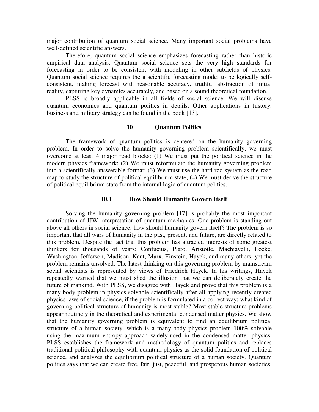major contribution of quantum social science. Many important social problems have well-defined scientific answers.

Therefore, quantum social science emphasizes forecasting rather than historic empirical data analysis. Quantum social science sets the very high standards for forecasting in order to be consistent with modeling in other subfields of physics. Quantum social science requires the a scientific forecasting model to be logically selfconsistent, making forecast with reasonable accuracy, truthful abstraction of initial reality, capturing key dynamics accurately, and based on a sound theoretical foundation.

PLSS is broadly applicable in all fields of social science. We will discuss quantum economics and quantum politics in details. Other applications in history, business and military strategy can be found in the book [13].

## **10 Quantum Politics**

The framework of quantum politics is centered on the humanity governing problem. In order to solve the humanity governing problem scientifically, we must overcome at least 4 major road blocks: (1) We must put the political science in the modern physics framework; (2) We must reformulate the humanity governing problem into a scientifically answerable format; (3) We must use the hard rod system as the road map to study the structure of political equilibrium state; (4) We must derive the structure of political equilibrium state from the internal logic of quantum politics.

## **10.1 How Should Humanity Govern Itself**

Solving the humanity governing problem [17] is probably the most important contribution of JJW interpretation of quantum mechanics. One problem is standing out above all others in social science: how should humanity govern itself? The problem is so important that all wars of humanity in the past, present, and future, are directly related to this problem. Despite the fact that this problem has attracted interests of some greatest thinkers for thousands of years: Confucius, Plato, Aristotle, Machiavelli, Locke, Washington, Jefferson, Madison, Kant, Marx, Einstein, Hayek, and many others, yet the problem remains unsolved. The latest thinking on this governing problem by mainstream social scientists is represented by views of Friedrich Hayek. In his writings, Hayek repeatedly warned that we must shed the illusion that we can deliberately create the future of mankind. With PLSS, we disagree with Hayek and prove that this problem is a many-body problem in physics solvable scientifically after all applying recently-created physics laws of social science, if the problem is formulated in a correct way: what kind of governing political structure of humanity is most stable? Most-stable structure problems appear routinely in the theoretical and experimental condensed matter physics. We show that the humanity governing problem is equivalent to find an equilibrium political structure of a human society, which is a many-body physics problem 100% solvable using the maximum entropy approach widely-used in the condensed matter physics. PLSS establishes the framework and methodology of quantum politics and replaces traditional political philosophy with quantum physics as the solid foundation of political science, and analyzes the equilibrium political structure of a human society. Quantum politics says that we can create free, fair, just, peaceful, and prosperous human societies.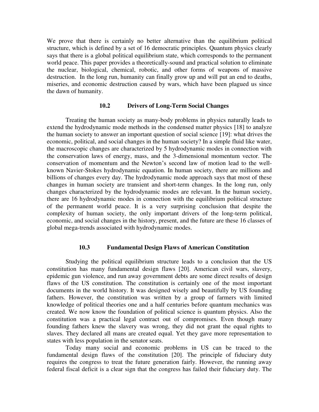We prove that there is certainly no better alternative than the equilibrium political structure, which is defined by a set of 16 democratic principles. Quantum physics clearly says that there is a global political equilibrium state, which corresponds to the permanent world peace. This paper provides a theoretically-sound and practical solution to eliminate the nuclear, biological, chemical, robotic, and other forms of weapons of massive destruction. In the long run, humanity can finally grow up and will put an end to deaths, miseries, and economic destruction caused by wars, which have been plagued us since the dawn of humanity.

## **10.2 Drivers of Long-Term Social Changes**

Treating the human society as many-body problems in physics naturally leads to extend the hydrodynamic mode methods in the condensed matter physics [18] to analyze the human society to answer an important question of social science [19]: what drives the economic, political, and social changes in the human society? In a simple fluid like water, the macroscopic changes are characterized by 5 hydrodynamic modes in connection with the conservation laws of energy, mass, and the 3-dimensional momentum vector. The conservation of momentum and the Newton's second law of motion lead to the wellknown Navier-Stokes hydrodynamic equation. In human society, there are millions and billions of changes every day. The hydrodynamic mode approach says that most of these changes in human society are transient and short-term changes. In the long run, only changes characterized by the hydrodynamic modes are relevant. In the human society, there are 16 hydrodynamic modes in connection with the equilibrium political structure of the permanent world peace. It is a very surprising conclusion that despite the complexity of human society, the only important drivers of the long-term political, economic, and social changes in the history, present, and the future are these 16 classes of global mega-trends associated with hydrodynamic modes.

## **10.3 Fundamental Design Flaws of American Constitution**

Studying the political equilibrium structure leads to a conclusion that the US constitution has many fundamental design flaws [20]. American civil wars, slavery, epidemic gun violence, and run away government debts are some direct results of design flaws of the US constitution. The constitution is certainly one of the most important documents in the world history. It was designed wisely and beautifully by US founding fathers. However, the constitution was written by a group of farmers with limited knowledge of political theories one and a half centuries before quantum mechanics was created. We now know the foundation of political science is quantum physics. Also the constitution was a practical legal contract out of compromises. Even though many founding fathers knew the slavery was wrong, they did not grant the equal rights to slaves. They declared all mans are created equal. Yet they gave more representation to states with less population in the senator seats.

Today many social and economic problems in US can be traced to the fundamental design flaws of the constitution [20]. The principle of fiduciary duty requires the congress to treat the future generation fairly. However, the running away federal fiscal deficit is a clear sign that the congress has failed their fiduciary duty. The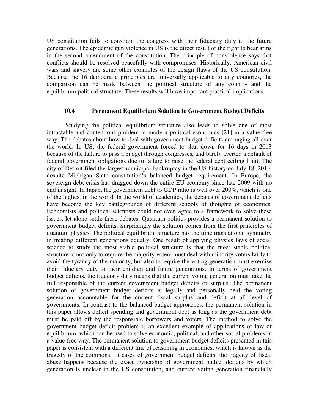US constitution fails to constrain the congress with their fiduciary duty to the future generations. The epidemic gun violence in US is the direct result of the right to bear arms in the second amendment of the constitution. The principle of nonviolence says that conflicts should be resolved peacefully with compromises. Historically, American civil wars and slavery are some other examples of the design flaws of the US constitution. Because the 16 democratic principles are universally applicable to any countries, the comparison can be made between the political structure of any country and the equilibrium political structure. These results will have important practical implications.

## **10.4 Permanent Equilibrium Solution to Government Budget Deficits**

Studying the political equilibrium structure also leads to solve one of most intractable and contentious problem in modern political economics [21] in a value-free way. The debates about how to deal with government budget deficits are raging all over the world. In US, the federal government forced to shut down for 16 days in 2013 because of the failure to pass a budget through congresses, and barely averted a default of federal government obligations due to failure to raise the federal debt ceiling limit. The city of Detroit filed the largest municipal bankruptcy in the US history on July 18, 2013, despite Michigan State constitution's balanced budget requirement. In Europe, the sovereign debt crisis has dragged down the entire EU economy since late 2009 with no end in sight. In Japan, the government debt to GDP ratio is well over 200%, which is one of the highest in the world. In the world of academics, the debates of government deficits have become the key battlegrounds of different schools of thoughts of economics. Economists and political scientists could not even agree to a framework to solve these issues, let alone settle these debates. Quantum politics provides a permanent solution to government budget deficits. Surprisingly the solution comes from the first principles of quantum physics. The political equilibrium structure has the time translational symmetry in treating different generations equally. One result of applying physics laws of social science to study the most stable political structure is that the most stable political structure is not only to require the majority voters must deal with minority voters fairly to avoid the tyranny of the majority, but also to require the voting generation must exercise their fiduciary duty to their children and future generations. In terms of government budget deficits, the fiduciary duty means that the current voting generation must take the full responsible of the current government budget deficits or surplus. The permanent solution of government budget deficits is legally and personally held the voting generation accountable for the current fiscal surplus and deficit at all level of governments. In contrast to the balanced budget approaches, the permanent solution in this paper allows deficit spending and government debt as long as the government debt must be paid off by the responsible borrowers and voters. The method to solve the government budget deficit problem is an excellent example of applications of law of equilibrium, which can be used to solve economic, political, and other social problems in a value-free way. The permanent solution to government budget deficits presented in this paper is consistent with a different line of reasoning in economics, which is known as the tragedy of the commons. In cases of government budget deficits, the tragedy of fiscal abuse happens because the exact ownership of government budget deficits by which generation is unclear in the US constitution, and current voting generation financially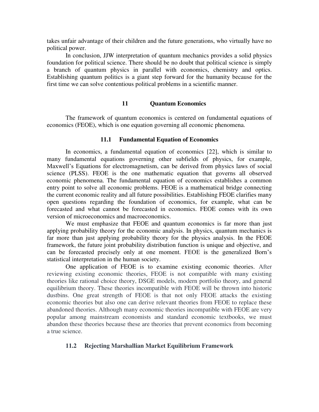takes unfair advantage of their children and the future generations, who virtually have no political power.

In conclusion, JJW interpretation of quantum mechanics provides a solid physics foundation for political science. There should be no doubt that political science is simply a branch of quantum physics in parallel with economics, chemistry and optics. Establishing quantum politics is a giant step forward for the humanity because for the first time we can solve contentious political problems in a scientific manner.

## **11 Quantum Economics**

The framework of quantum economics is centered on fundamental equations of economics (FEOE), which is one equation governing all economic phenomena.

## **11.1 Fundamental Equation of Economics**

In economics, a fundamental equation of economics [22], which is similar to many fundamental equations governing other subfields of physics, for example, Maxwell's Equations for electromagnetism, can be derived from physics laws of social science (PLSS). FEOE is the one mathematic equation that governs all observed economic phenomena. The fundamental equation of economics establishes a common entry point to solve all economic problems. FEOE is a mathematical bridge connecting the current economic reality and all future possibilities. Establishing FEOE clarifies many open questions regarding the foundation of economics, for example, what can be forecasted and what cannot be forecasted in economics. FEOE comes with its own version of microeconomics and macroeconomics.

We must emphasize that FEOE and quantum economics is far more than just applying probability theory for the economic analysis. In physics, quantum mechanics is far more than just applying probability theory for the physics analysis. In the FEOE framework, the future joint probability distribution function is unique and objective, and can be forecasted precisely only at one moment. FEOE is the generalized Born's statistical interpretation in the human society.

One application of FEOE is to examine existing economic theories. After reviewing existing economic theories, FEOE is not compatible with many existing theories like rational choice theory, DSGE models, modern portfolio theory, and general equilibrium theory. These theories incompatible with FEOE will be thrown into historic dustbins. One great strength of FEOE is that not only FEOE attacks the existing economic theories but also one can derive relevant theories from FEOE to replace these abandoned theories. Although many economic theories incompatible with FEOE are very popular among mainstream economists and standard economic textbooks, we must abandon these theories because these are theories that prevent economics from becoming a true science.

## **11.2 Rejecting Marshallian Market Equilibrium Framework**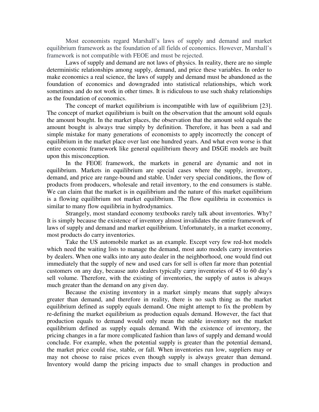Most economists regard Marshall's laws of supply and demand and market equilibrium framework as the foundation of all fields of economics. However, Marshall's framework is not compatible with FEOE and must be rejected.

Laws of supply and demand are not laws of physics. In reality, there are no simple deterministic relationships among supply, demand, and price these variables. In order to make economics a real science, the laws of supply and demand must be abandoned as the foundation of economics and downgraded into statistical relationships, which work sometimes and do not work in other times. It is ridiculous to use such shaky relationships as the foundation of economics.

The concept of market equilibrium is incompatible with law of equilibrium [23]. The concept of market equilibrium is built on the observation that the amount sold equals the amount bought. In the market places, the observation that the amount sold equals the amount bought is always true simply by definition. Therefore, it has been a sad and simple mistake for many generations of economists to apply incorrectly the concept of equilibrium in the market place over last one hundred years. And what even worse is that entire economic framework like general equilibrium theory and DSGE models are built upon this misconception.

In the FEOE framework, the markets in general are dynamic and not in equilibrium. Markets in equilibrium are special cases where the supply, inventory, demand, and price are range-bound and stable. Under very special conditions, the flow of products from producers, wholesale and retail inventory, to the end consumers is stable. We can claim that the market is in equilibrium and the nature of this market equilibrium is a flowing equilibrium not market equilibrium. The flow equilibria in economics is similar to many flow equilibria in hydrodynamics.

Strangely, most standard economy textbooks rarely talk about inventories. Why? It is simply because the existence of inventory almost invalidates the entire framework of laws of supply and demand and market equilibrium. Unfortunately, in a market economy, most products do carry inventories.

Take the US automobile market as an example. Except very few red-hot models which need the waiting lists to manage the demand, most auto models carry inventories by dealers. When one walks into any auto dealer in the neighborhood, one would find out immediately that the supply of new and used cars for sell is often far more than potential customers on any day, because auto dealers typically carry inventories of 45 to 60 day's sell volume. Therefore, with the existing of inventories, the supply of autos is always much greater than the demand on any given day.

Because the existing inventory in a market simply means that supply always greater than demand, and therefore in reality, there is no such thing as the market equilibrium defined as supply equals demand. One might attempt to fix the problem by re-defining the market equilibrium as production equals demand. However, the fact that production equals to demand would only mean the stable inventory not the market equilibrium defined as supply equals demand. With the existence of inventory, the pricing changes in a far more complicated fashion than laws of supply and demand would conclude. For example, when the potential supply is greater than the potential demand, the market price could rise, stable, or fall. When inventories run low, suppliers may or may not choose to raise prices even though supply is always greater than demand. Inventory would damp the pricing impacts due to small changes in production and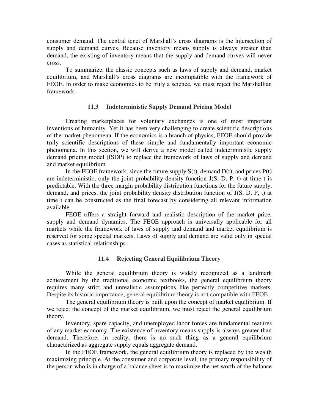consumer demand. The central tenet of Marshall's cross diagrams is the intersection of supply and demand curves. Because inventory means supply is always greater than demand, the existing of inventory means that the supply and demand curves will never cross.

To summarize, the classic concepts such as laws of supply and demand, market equilibrium, and Marshall's cross diagrams are incompatible with the framework of FEOE. In order to make economics to be truly a science, we must reject the Marshallian framework.

## **11.3 Indeterministic Supply Demand Pricing Model**

Creating marketplaces for voluntary exchanges is one of most important inventions of humanity. Yet it has been very challenging to create scientific descriptions of the market phenomena. If the economics is a branch of physics, FEOE should provide truly scientific descriptions of these simple and fundamentally important economic phenomena. In this section, we will derive a new model called indeterministic supply demand pricing model (ISDP) to replace the framework of laws of supply and demand and market equilibrium.

In the FEOE framework, since the future supply  $S(t)$ , demand  $D(t)$ , and prices  $P(t)$ are indeterministic, only the joint probability density function  $J(S, D, P, t)$  at time t is predictable. With the three margin probability distribution functions for the future supply, demand, and prices, the joint probability density distribution function of J(S, D, P, t) at time t can be constructed as the final forecast by considering all relevant information available.

FEOE offers a straight forward and realistic description of the market price, supply and demand dynamics. The FEOE approach is universally applicable for all markets while the framework of laws of supply and demand and market equilibrium is reserved for some special markets. Laws of supply and demand are valid only in special cases as statistical relationships.

## **11.4 Rejecting General Equilibrium Theory**

While the general equilibrium theory is widely recognized as a landmark achievement by the traditional economic textbooks, the general equilibrium theory requires many strict and unrealistic assumptions like perfectly competitive markets. Despite its historic importance, general equilibrium theory is not compatible with FEOE.

The general equilibrium theory is built upon the concept of market equilibrium. If we reject the concept of the market equilibrium, we must reject the general equilibrium theory.

Inventory, spare capacity, and unemployed labor forces are fundamental features of any market economy. The existence of inventory means supply is always greater than demand. Therefore, in reality, there is no such thing as a general equilibrium characterized as aggregate supply equals aggregate demand.

In the FEOE framework, the general equilibrium theory is replaced by the wealth maximizing principle. At the consumer and corporate level, the primary responsibility of the person who is in charge of a balance sheet is to maximize the net worth of the balance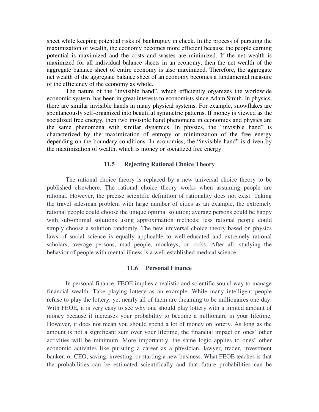sheet while keeping potential risks of bankruptcy in check. In the process of pursuing the maximization of wealth, the economy becomes more efficient because the people earning potential is maximized and the costs and wastes are minimized. If the net wealth is maximized for all individual balance sheets in an economy, then the net wealth of the aggregate balance sheet of entire economy is also maximized. Therefore, the aggregate net wealth of the aggregate balance sheet of an economy becomes a fundamental measure of the efficiency of the economy as whole.

The nature of the "invisible hand", which efficiently organizes the worldwide economic system, has been in great interests to economists since Adam Smith. In physics, there are similar invisible hands in many physical systems. For example, snowflakes are spontaneously self-organized into beautiful symmetric patterns. If money is viewed as the socialized free energy, then two invisible hand phenomena in economics and physics are the same phenomena with similar dynamics. In physics, the "invisible hand" is characterized by the maximization of entropy or minimization of the free energy depending on the boundary conditions. In economics, the "invisible hand" is driven by the maximization of wealth, which is money or socialized free energy.

## **11.5 Rejecting Rational Choice Theory**

The rational choice theory is replaced by a new universal choice theory to be published elsewhere. The rational choice theory works when assuming people are rational. However, the precise scientific definition of rationality does not exist. Taking the travel salesman problem with large number of cities as an example, the extremely rational people could choose the unique optimal solution; average persons could be happy with sub-optimal solutions using approximation methods; less rational people could simply choose a solution randomly. The new universal choice theory based on physics laws of social science is equally applicable to well-educated and extremely rational scholars, average persons, mad people, monkeys, or rocks. After all, studying the behavior of people with mental illness is a well-established medical science.

#### **11.6 Personal Finance**

In personal finance, FEOE implies a realistic and scientific sound way to manage financial wealth. Take playing lottery as an example. While many intelligent people refuse to play the lottery, yet nearly all of them are dreaming to be millionaires one day. With FEOE, it is very easy to see why one should play lottery with a limited amount of money because it increases your probability to become a millionaire in your lifetime. However, it does not mean you should spend a lot of money on lottery. As long as the amount is not a significant sum over your lifetime, the financial impact on ones' other activities will be minimum. More importantly, the same logic applies to ones' other economic activities like pursuing a career as a physician, lawyer, trader, investment banker, or CEO, saving, investing, or starting a new business. What FEOE teaches is that the probabilities can be estimated scientifically and that future probabilities can be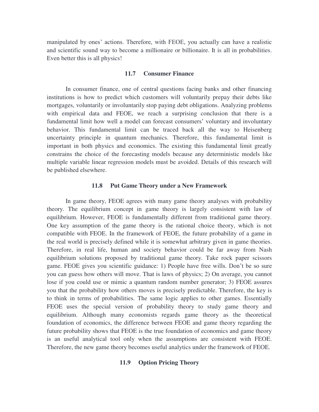manipulated by ones' actions. Therefore, with FEOE, you actually can have a realistic and scientific sound way to become a millionaire or billionaire. It is all in probabilities. Even better this is all physics!

#### **11.7 Consumer Finance**

In consumer finance, one of central questions facing banks and other financing institutions is how to predict which customers will voluntarily prepay their debts like mortgages, voluntarily or involuntarily stop paying debt obligations. Analyzing problems with empirical data and FEOE, we reach a surprising conclusion that there is a fundamental limit how well a model can forecast consumers' voluntary and involuntary behavior. This fundamental limit can be traced back all the way to Heisenberg uncertainty principle in quantum mechanics. Therefore, this fundamental limit is important in both physics and economics. The existing this fundamental limit greatly constrains the choice of the forecasting models because any deterministic models like multiple variable linear regression models must be avoided. Details of this research will be published elsewhere.

## **11.8 Put Game Theory under a New Framework**

In game theory, FEOE agrees with many game theory analyses with probability theory. The equilibrium concept in game theory is largely consistent with law of equilibrium. However, FEOE is fundamentally different from traditional game theory. One key assumption of the game theory is the rational choice theory, which is not compatible with FEOE. In the framework of FEOE, the future probability of a game in the real world is precisely defined while it is somewhat arbitrary given in game theories. Therefore, in real life, human and society behavior could be far away from Nash equilibrium solutions proposed by traditional game theory*.* Take rock paper scissors game. FEOE gives you scientific guidance: 1) People have free wills. Don't be so sure you can guess how others will move. That is laws of physics; 2) On average, you cannot lose if you could use or mimic a quantum random number generator; 3) FEOE assures you that the probability how others moves is precisely predictable. Therefore, the key is to think in terms of probabilities. The same logic applies to other games. Essentially FEOE uses the special version of probability theory to study game theory and equilibrium. Although many economists regards game theory as the theoretical foundation of economics, the difference between FEOE and game theory regarding the future probability shows that FEOE is the true foundation of economics and game theory is an useful analytical tool only when the assumptions are consistent with FEOE. Therefore, the new game theory becomes useful analytics under the framework of FEOE.

## **11.9 Option Pricing Theory**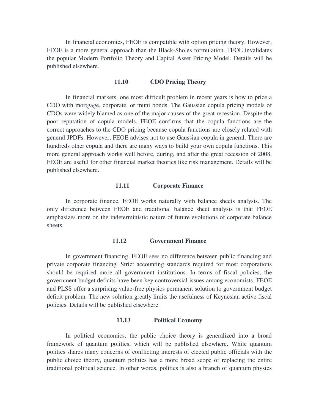In financial economics, FEOE is compatible with option pricing theory. However, FEOE is a more general approach than the Black-Sholes formulation. FEOE invalidates the popular Modern Portfolio Theory and Capital Asset Pricing Model. Details will be published elsewhere.

#### **11.10 CDO Pricing Theory**

In financial markets, one most difficult problem in recent years is how to price a CDO with mortgage, corporate, or muni bonds. The Gaussian copula pricing models of CDOs were widely blamed as one of the major causes of the great recession. Despite the poor reputation of copula models, FEOE confirms that the copula functions are the correct approaches to the CDO pricing because copula functions are closely related with general JPDFs. However, FEOE advises not to use Gaussian copula in general. There are hundreds other copula and there are many ways to build your own copula functions. This more general approach works well before, during, and after the great recession of 2008. FEOE are useful for other financial market theories like risk management. Details will be published elsewhere.

## **11.11 Corporate Finance**

In corporate finance, FEOE works naturally with balance sheets analysis. The only difference between FEOE and traditional balance sheet analysis is that FEOE emphasizes more on the indeterministic nature of future evolutions of corporate balance sheets.

## **11.12 Government Finance**

In government financing, FEOE sees no difference between public financing and private corporate financing. Strict accounting standards required for most corporations should be required more all government institutions. In terms of fiscal policies, the government budget deficits have been key controversial issues among economists. FEOE and PLSS offer a surprising value-free physics permanent solution to government budget deficit problem. The new solution greatly limits the usefulness of Keynesian active fiscal policies. Details will be published elsewhere.

## **11.13 Political Economy**

In political economics, the public choice theory is generalized into a broad framework of quantum politics, which will be published elsewhere. While quantum politics shares many concerns of conflicting interests of elected public officials with the public choice theory, quantum politics has a more broad scope of replacing the entire traditional political science. In other words, politics is also a branch of quantum physics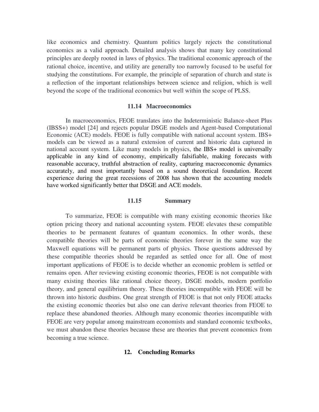like economics and chemistry. Quantum politics largely rejects the constitutional economics as a valid approach. Detailed analysis shows that many key constitutional principles are deeply rooted in laws of physics. The traditional economic approach of the rational choice, incentive, and utility are generally too narrowly focused to be useful for studying the constitutions. For example, the principle of separation of church and state is a reflection of the important relationships between science and religion, which is well beyond the scope of the traditional economics but well within the scope of PLSS.

## **11.14 Macroeconomics**

In macroeconomics, FEOE translates into the Indeterministic Balance-sheet Plus (IBSS+) model [24] and rejects popular DSGE models and Agent-based Computational Economic (ACE) models. FEOE is fully compatible with national account system. IBS+ models can be viewed as a natural extension of current and historic data captured in national account system. Like many models in physics, the IBS+ model is universally applicable in any kind of economy, empirically falsifiable, making forecasts with reasonable accuracy, truthful abstraction of reality, capturing macroeconomic dynamics accurately, and most importantly based on a sound theoretical foundation. Recent experience during the great recessions of 2008 has shown that the accounting models have worked significantly better that DSGE and ACE models.

## **11.15 Summary**

To summarize, FEOE is compatible with many existing economic theories like option pricing theory and national accounting system. FEOE elevates these compatible theories to be permanent features of quantum economics. In other words, these compatible theories will be parts of economic theories forever in the same way the Maxwell equations will be permanent parts of physics. Those questions addressed by these compatible theories should be regarded as settled once for all. One of most important applications of FEOE is to decide whether an economic problem is settled or remains open. After reviewing existing economic theories, FEOE is not compatible with many existing theories like rational choice theory, DSGE models, modern portfolio theory, and general equilibrium theory. These theories incompatible with FEOE will be thrown into historic dustbins. One great strength of FEOE is that not only FEOE attacks the existing economic theories but also one can derive relevant theories from FEOE to replace these abandoned theories. Although many economic theories incompatible with FEOE are very popular among mainstream economists and standard economic textbooks, we must abandon these theories because these are theories that prevent economics from becoming a true science.

## **12. Concluding Remarks**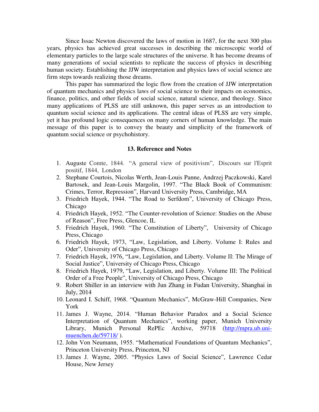Since Issac Newton discovered the laws of motion in 1687, for the next 300 plus years, physics has achieved great successes in describing the microscopic world of elementary particles to the large scale structures of the universe. It has become dreams of many generations of social scientists to replicate the success of physics in describing human society. Establishing the JJW interpretation and physics laws of social science are firm steps towards realizing those dreams.

This paper has summarized the logic flow from the creation of JJW interpretation of quantum mechanics and physics laws of social science to their impacts on economics, finance, politics, and other fields of social science, natural science, and theology. Since many applications of PLSS are still unknown, this paper serves as an introduction to quantum social science and its applications. The central ideas of PLSS are very simple, yet it has profound logic consequences on many corners of human knowledge. The main message of this paper is to convey the beauty and simplicity of the framework of quantum social science or psychohistory.

#### **13. Reference and Notes**

- 1. Auguste Comte, 1844. "A general view of positivism", Discours sur l'Esprit positif, 1844, London
- 2. Stephane Courtois, Nicolas Werth, Jean-Louis Panne, Andrzej Paczkowski, Karel Bartosek, and Jean-Louis Margolin, 1997. "The Black Book of Communism: Crimes, Terror, Repression", Harvard University Press, Cambridge, MA
- 3. Friedrich Hayek, 1944. "The Road to Serfdom", University of Chicago Press, Chicago
- 4. Friedrich Hayek, 1952. "The Counter-revolution of Science: Studies on the Abuse of Reason", Free Press, Glencoe, IL
- 5. Friedrich Hayek, 1960. "The Constitution of Liberty", University of Chicago Press, Chicago
- 6. Friedrich Hayek, 1973, "Law, Legislation, and Liberty. Volume I: Rules and Oder", University of Chicago Press, Chicago
- 7. Friedrich Hayek, 1976, "Law, Legislation, and Liberty. Volume II: The Mirage of Social Justice", University of Chicago Press, Chicago
- 8. Friedrich Hayek, 1979, "Law, Legislation, and Liberty. Volume III: The Political Order of a Free People", University of Chicago Press, Chicago
- 9. Robert Shiller in an interview with Jun Zhang in Fudan University, Shanghai in July, 2014
- 10. Leonard I. Schiff, 1968. "Quantum Mechanics", McGraw-Hill Companies, New York
- 11. James J. Wayne, 2014. "Human Behavior Paradox and a Social Science Interpretation of Quantum Mechanics", working paper, Munich University Library, Munich Personal RePEc Archive, 59718 [\(http://mpra.ub.uni](http://mpra.ub.uni-muenchen.de/59718/)[muenchen.de/59718/](http://mpra.ub.uni-muenchen.de/59718/) ).
- 12. John Von Neumann, 1955. "Mathematical Foundations of Quantum Mechanics", Princeton University Press, Princeton, NJ
- 13. James J. Wayne, 2005. "Physics Laws of Social Science", Lawrence Cedar House, New Jersey